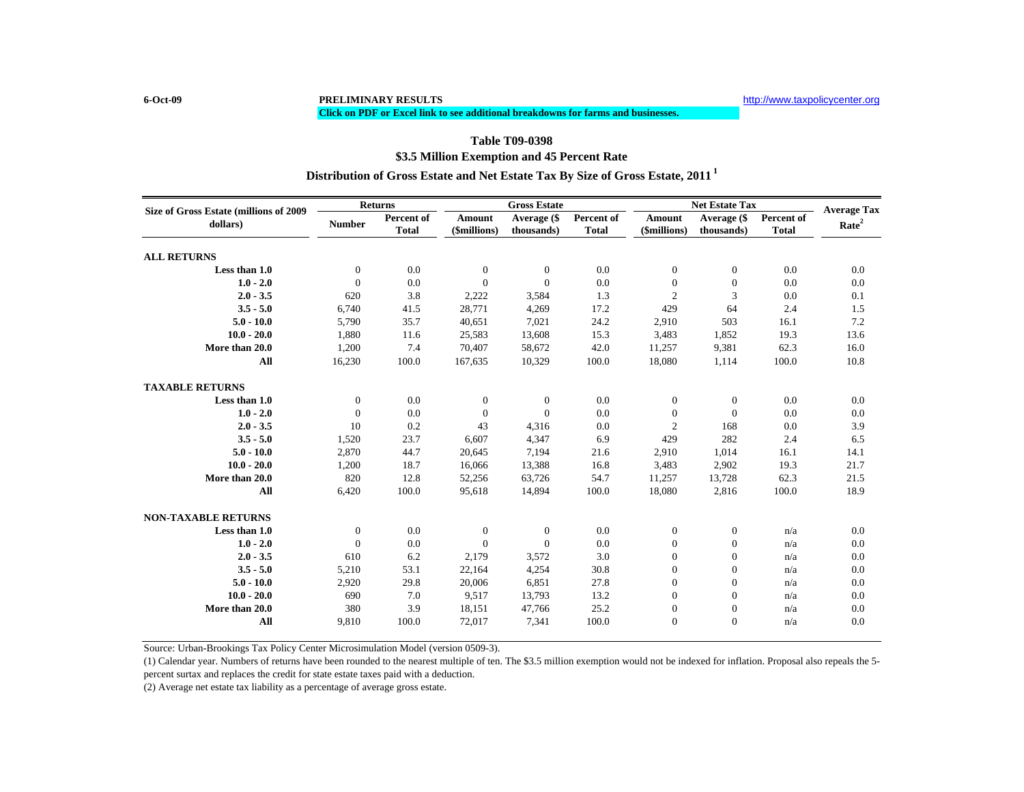## **\$3.5 Million Exemption and 45 Percent Rate Table T09-0398Distribution of Gross Estate and Net Estate Tax By Size of Gross Estate, 2011 <sup>1</sup>**

**Click on PDF or Excel link to see additional breakdowns for farms and businesses.**

| Size of Gross Estate (millions of 2009 | <b>Returns</b> |              | <b>Gross Estate</b> |                |              | <b>Net Estate Tax</b> | <b>Average Tax</b> |              |                   |
|----------------------------------------|----------------|--------------|---------------------|----------------|--------------|-----------------------|--------------------|--------------|-------------------|
| dollars)                               | <b>Number</b>  | Percent of   | <b>Amount</b>       | Average (\$    | Percent of   | Amount                | Average (\$        | Percent of   | Rate <sup>2</sup> |
|                                        |                | <b>Total</b> | (\$millions)        | thousands)     | <b>Total</b> | (\$millions)          | thousands)         | <b>Total</b> |                   |
| <b>ALL RETURNS</b>                     |                |              |                     |                |              |                       |                    |              |                   |
| Less than 1.0                          | $\mathbf{0}$   | 0.0          | $\theta$            | $\overline{0}$ | 0.0          | $\mathbf{0}$          | $\mathbf{0}$       | 0.0          | 0.0               |
| $1.0 - 2.0$                            | $\Omega$       | 0.0          | $\Omega$            | $\Omega$       | 0.0          | $\mathbf{0}$          | $\mathbf{0}$       | 0.0          | 0.0               |
| $2.0 - 3.5$                            | 620            | 3.8          | 2,222               | 3,584          | 1.3          | $\overline{c}$        | 3                  | 0.0          | 0.1               |
| $3.5 - 5.0$                            | 6,740          | 41.5         | 28,771              | 4,269          | 17.2         | 429                   | 64                 | 2.4          | 1.5               |
| $5.0 - 10.0$                           | 5,790          | 35.7         | 40,651              | 7,021          | 24.2         | 2,910                 | 503                | 16.1         | 7.2               |
| $10.0 - 20.0$                          | 1,880          | 11.6         | 25,583              | 13,608         | 15.3         | 3.483                 | 1,852              | 19.3         | 13.6              |
| More than 20.0                         | 1,200          | 7.4          | 70,407              | 58,672         | 42.0         | 11,257                | 9,381              | 62.3         | 16.0              |
| All                                    | 16,230         | 100.0        | 167,635             | 10,329         | 100.0        | 18,080                | 1,114              | 100.0        | 10.8              |
| <b>TAXABLE RETURNS</b>                 |                |              |                     |                |              |                       |                    |              |                   |
| Less than 1.0                          | $\mathbf{0}$   | 0.0          | $\theta$            | $\theta$       | 0.0          | $\mathbf{0}$          | $\mathbf{0}$       | 0.0          | 0.0               |
| $1.0 - 2.0$                            | $\Omega$       | 0.0          | $\theta$            | $\Omega$       | 0.0          | $\mathbf{0}$          | $\Omega$           | 0.0          | 0.0               |
| $2.0 - 3.5$                            | 10             | 0.2          | 43                  | 4,316          | 0.0          | $\overline{c}$        | 168                | 0.0          | 3.9               |
| $3.5 - 5.0$                            | 1,520          | 23.7         | 6,607               | 4,347          | 6.9          | 429                   | 282                | 2.4          | 6.5               |
| $5.0 - 10.0$                           | 2,870          | 44.7         | 20,645              | 7,194          | 21.6         | 2,910                 | 1,014              | 16.1         | 14.1              |
| $10.0 - 20.0$                          | 1,200          | 18.7         | 16,066              | 13,388         | 16.8         | 3,483                 | 2,902              | 19.3         | 21.7              |
| More than 20.0                         | 820            | 12.8         | 52,256              | 63,726         | 54.7         | 11,257                | 13,728             | 62.3         | 21.5              |
| All                                    | 6,420          | 100.0        | 95,618              | 14,894         | 100.0        | 18,080                | 2,816              | 100.0        | 18.9              |
| <b>NON-TAXABLE RETURNS</b>             |                |              |                     |                |              |                       |                    |              |                   |
| Less than 1.0                          | $\mathbf{0}$   | 0.0          | $\theta$            | $\theta$       | 0.0          | $\mathbf{0}$          | $\mathbf{0}$       | n/a          | 0.0               |
| $1.0 - 2.0$                            | $\mathbf{0}$   | 0.0          | $\theta$            | $\Omega$       | 0.0          | $\mathbf{0}$          | $\mathbf{0}$       | n/a          | 0.0               |
| $2.0 - 3.5$                            | 610            | 6.2          | 2,179               | 3,572          | 3.0          | $\boldsymbol{0}$      | $\boldsymbol{0}$   | n/a          | 0.0               |
| $3.5 - 5.0$                            | 5,210          | 53.1         | 22,164              | 4,254          | 30.8         | $\mathbf{0}$          | $\mathbf{0}$       | n/a          | 0.0               |
| $5.0 - 10.0$                           | 2,920          | 29.8         | 20,006              | 6,851          | 27.8         | $\mathbf{0}$          | $\mathbf{0}$       | n/a          | 0.0               |
| $10.0 - 20.0$                          | 690            | 7.0          | 9,517               | 13,793         | 13.2         | $\mathbf{0}$          | $\mathbf{0}$       | n/a          | 0.0               |
| More than 20.0                         | 380            | 3.9          | 18,151              | 47,766         | 25.2         | $\boldsymbol{0}$      | $\boldsymbol{0}$   | n/a          | 0.0               |
| All                                    | 9,810          | 100.0        | 72,017              | 7,341          | 100.0        | $\Omega$              | $\Omega$           | n/a          | 0.0               |

Source: Urban-Brookings Tax Policy Center Microsimulation Model (version 0509-3).

(1) Calendar year. Numbers of returns have been rounded to the nearest multiple of ten. The \$3.5 million exemption would not be indexed for inflation. Proposal also repeals the 5 percent surtax and replaces the credit for state estate taxes paid with a deduction.

(2) Average net estate tax liability as a percentage of average gross estate.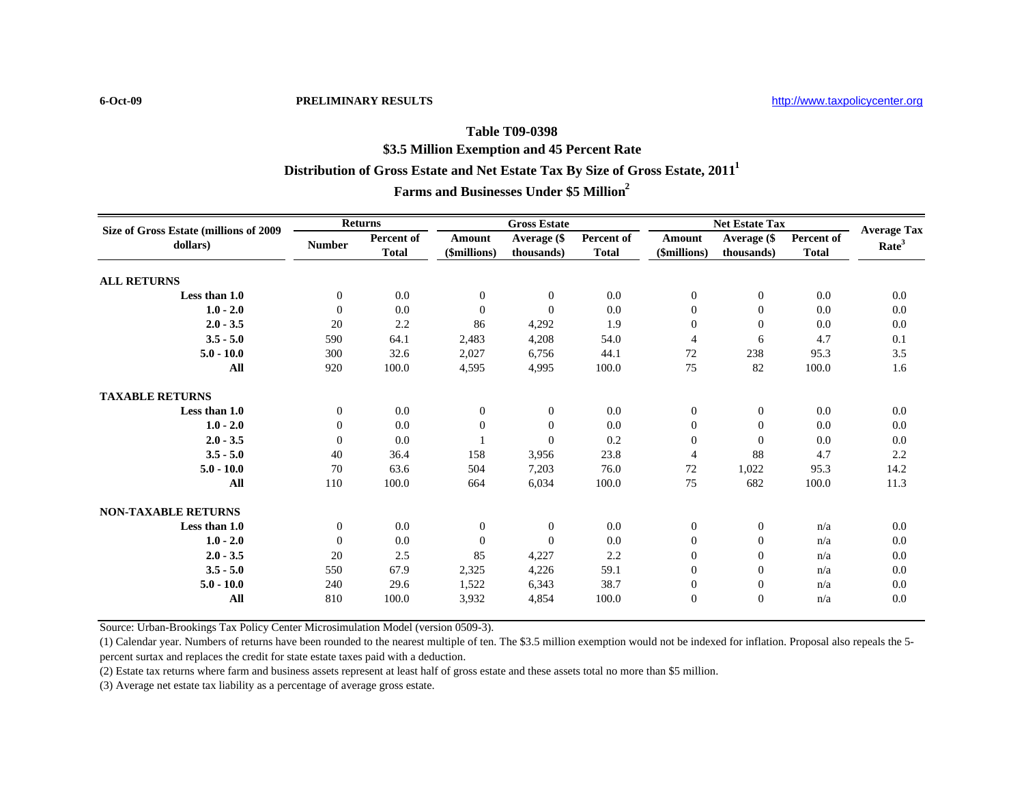**6-Oct-09 PRELIMINARY RESULTS**

## **Table T09-0398Distribution of Gross Estate and Net Estate Tax By Size of Gross Estate, 2011<sup>1</sup> \$3.5 Million Exemption and 45 Percent Rate Farms and Businesses Under \$5 Million2**

| Size of Gross Estate (millions of 2009<br>dollars) | <b>Returns</b> |                            | <b>Gross Estate</b>           |                           |                            | <b>Net Estate Tax</b>  |                           |                            | <b>Average Tax</b> |
|----------------------------------------------------|----------------|----------------------------|-------------------------------|---------------------------|----------------------------|------------------------|---------------------------|----------------------------|--------------------|
|                                                    | <b>Number</b>  | Percent of<br><b>Total</b> | <b>Amount</b><br>(\$millions) | Average (\$<br>thousands) | Percent of<br><b>Total</b> | Amount<br>(\$millions) | Average (\$<br>thousands) | Percent of<br><b>Total</b> | Rate <sup>3</sup>  |
| <b>ALL RETURNS</b>                                 |                |                            |                               |                           |                            |                        |                           |                            |                    |
| Less than 1.0                                      | $\mathbf{0}$   | 0.0                        | $\overline{0}$                | $\overline{0}$            | 0.0                        | $\overline{0}$         | $\overline{0}$            | 0.0                        | 0.0                |
| $1.0 - 2.0$                                        | $\mathbf{0}$   | 0.0                        | $\overline{0}$                | $\Omega$                  | 0.0                        | $\theta$               | $\mathbf{0}$              | 0.0                        | 0.0                |
| $2.0 - 3.5$                                        | 20             | 2.2                        | 86                            | 4,292                     | 1.9                        | $\overline{0}$         | $\mathbf{0}$              | 0.0                        | 0.0                |
| $3.5 - 5.0$                                        | 590            | 64.1                       | 2,483                         | 4,208                     | 54.0                       | $\overline{4}$         | 6                         | 4.7                        | 0.1                |
| $5.0 - 10.0$                                       | 300            | 32.6                       | 2,027                         | 6,756                     | 44.1                       | 72                     | 238                       | 95.3                       | 3.5                |
| All                                                | 920            | 100.0                      | 4,595                         | 4,995                     | 100.0                      | 75                     | 82                        | 100.0                      | 1.6                |
| <b>TAXABLE RETURNS</b>                             |                |                            |                               |                           |                            |                        |                           |                            |                    |
| Less than 1.0                                      | $\mathbf{0}$   | 0.0                        | $\overline{0}$                | $\overline{0}$            | 0.0                        | $\boldsymbol{0}$       | $\overline{0}$            | 0.0                        | 0.0                |
| $1.0 - 2.0$                                        | $\mathbf{0}$   | 0.0                        | $\overline{0}$                | $\Omega$                  | 0.0                        | $\theta$               | $\mathbf{0}$              | 0.0                        | 0.0                |
| $2.0 - 3.5$                                        | $\mathbf{0}$   | 0.0                        |                               | $\Omega$                  | 0.2                        | $\overline{0}$         | $\Omega$                  | 0.0                        | 0.0                |
| $3.5 - 5.0$                                        | 40             | 36.4                       | 158                           | 3,956                     | 23.8                       | $\overline{4}$         | 88                        | 4.7                        | 2.2                |
| $5.0 - 10.0$                                       | 70             | 63.6                       | 504                           | 7,203                     | 76.0                       | 72                     | 1,022                     | 95.3                       | 14.2               |
| All                                                | 110            | 100.0                      | 664                           | 6,034                     | 100.0                      | 75                     | 682                       | 100.0                      | 11.3               |
| <b>NON-TAXABLE RETURNS</b>                         |                |                            |                               |                           |                            |                        |                           |                            |                    |
| Less than 1.0                                      | $\mathbf{0}$   | 0.0                        | $\overline{0}$                | $\overline{0}$            | 0.0                        | $\boldsymbol{0}$       | $\boldsymbol{0}$          | n/a                        | 0.0                |
| $1.0 - 2.0$                                        | $\mathbf{0}$   | 0.0                        | $\overline{0}$                | $\Omega$                  | 0.0                        | $\theta$               | $\mathbf{0}$              | n/a                        | 0.0                |
| $2.0 - 3.5$                                        | 20             | 2.5                        | 85                            | 4,227                     | 2.2                        | $\overline{0}$         | $\overline{0}$            | n/a                        | 0.0                |
| $3.5 - 5.0$                                        | 550            | 67.9                       | 2,325                         | 4,226                     | 59.1                       | $\overline{0}$         | $\overline{0}$            | n/a                        | 0.0                |
| $5.0 - 10.0$                                       | 240            | 29.6                       | 1,522                         | 6,343                     | 38.7                       | $\boldsymbol{0}$       | $\boldsymbol{0}$          | n/a                        | 0.0                |
| All                                                | 810            | 100.0                      | 3,932                         | 4,854                     | 100.0                      | $\overline{0}$         | $\overline{0}$            | n/a                        | 0.0                |

Source: Urban-Brookings Tax Policy Center Microsimulation Model (version 0509-3).

(1) Calendar year. Numbers of returns have been rounded to the nearest multiple of ten. The \$3.5 million exemption would not be indexed for inflation. Proposal also repeals the 5 percent surtax and replaces the credit for state estate taxes paid with a deduction.

(2) Estate tax returns where farm and business assets represent at least half of gross estate and these assets total no more than \$5 million.

(3) Average net estate tax liability as a percentage of average gross estate.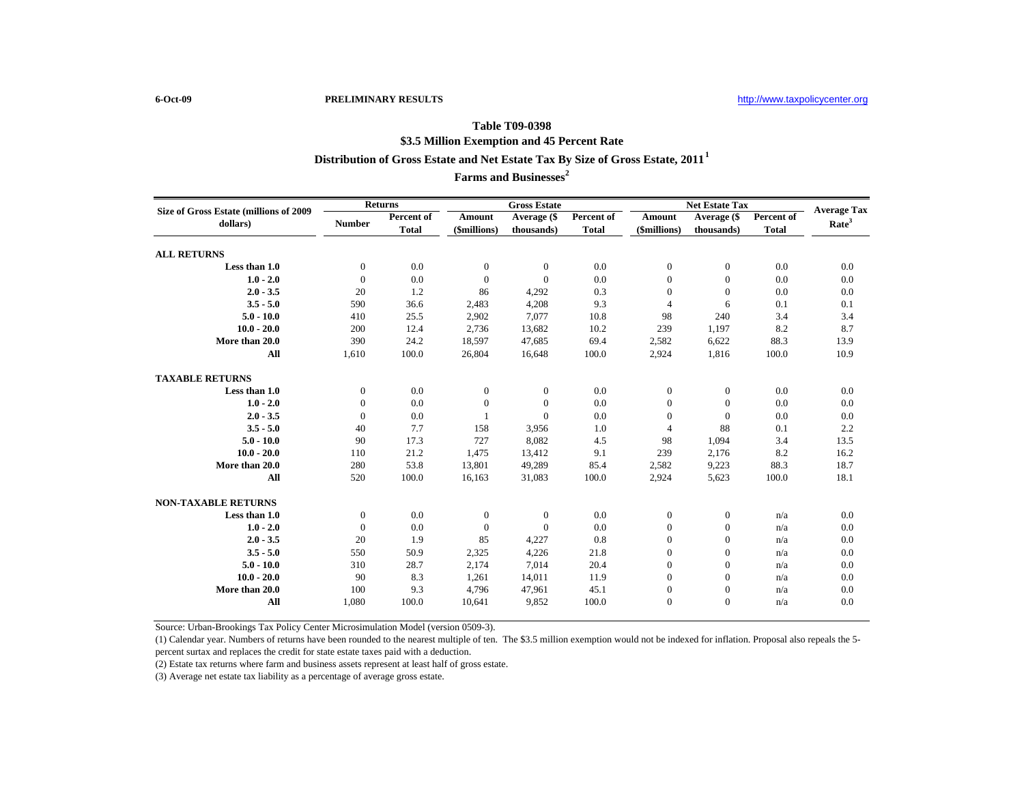## **Table T09-0398 Distribution of Gross Estate and Net Estate Tax By Size of Gross Estate, 2011<sup>1</sup> \$3.5 Million Exemption and 45 Percent Rate**

**Farms and Businesses<sup>2</sup>**

| Size of Gross Estate (millions of 2009<br>dollars) | Returns       |                            | <b>Gross Estate</b>           |                           |                            | <b>Net Estate Tax</b>         |                           |                            | <b>Average Tax</b> |
|----------------------------------------------------|---------------|----------------------------|-------------------------------|---------------------------|----------------------------|-------------------------------|---------------------------|----------------------------|--------------------|
|                                                    | <b>Number</b> | Percent of<br><b>Total</b> | <b>Amount</b><br>(\$millions) | Average (\$<br>thousands) | Percent of<br><b>Total</b> | <b>Amount</b><br>(\$millions) | Average (\$<br>thousands) | Percent of<br><b>Total</b> | Rate <sup>3</sup>  |
| <b>ALL RETURNS</b>                                 |               |                            |                               |                           |                            |                               |                           |                            |                    |
| Less than 1.0                                      | $\mathbf{0}$  | 0.0                        | $\mathbf{0}$                  | $\mathbf{0}$              | 0.0                        | $\overline{0}$                | $\overline{0}$            | 0.0                        | 0.0                |
| $1.0 - 2.0$                                        | $\mathbf{0}$  | 0.0                        | $\Omega$                      | $\Omega$                  | 0.0                        | $\boldsymbol{0}$              | $\boldsymbol{0}$          | 0.0                        | 0.0                |
| $2.0 - 3.5$                                        | 20            | 1.2                        | 86                            | 4,292                     | 0.3                        | $\mathbf{0}$                  | $\mathbf{0}$              | 0.0                        | 0.0                |
| $3.5 - 5.0$                                        | 590           | 36.6                       | 2,483                         | 4,208                     | 9.3                        | $\overline{4}$                | 6                         | 0.1                        | 0.1                |
| $5.0 - 10.0$                                       | 410           | 25.5                       | 2,902                         | 7,077                     | 10.8                       | 98                            | 240                       | 3.4                        | 3.4                |
| $10.0 - 20.0$                                      | 200           | 12.4                       | 2,736                         | 13,682                    | 10.2                       | 239                           | 1,197                     | 8.2                        | 8.7                |
| More than 20.0                                     | 390           | 24.2                       | 18,597                        | 47,685                    | 69.4                       | 2,582                         | 6,622                     | 88.3                       | 13.9               |
| All                                                | 1,610         | 100.0                      | 26,804                        | 16,648                    | 100.0                      | 2,924                         | 1,816                     | 100.0                      | 10.9               |
| <b>TAXABLE RETURNS</b>                             |               |                            |                               |                           |                            |                               |                           |                            |                    |
| Less than 1.0                                      | $\mathbf{0}$  | 0.0                        | $\mathbf{0}$                  | $\mathbf{0}$              | 0.0                        | $\mathbf{0}$                  | $\mathbf{0}$              | 0.0                        | 0.0                |
| $1.0 - 2.0$                                        | $\mathbf{0}$  | 0.0                        | $\Omega$                      | $\Omega$                  | 0.0                        | $\boldsymbol{0}$              | $\mathbf{0}$              | 0.0                        | 0.0                |
| $2.0 - 3.5$                                        | $\Omega$      | 0.0                        |                               | $\Omega$                  | 0.0                        | $\mathbf{0}$                  | $\Omega$                  | 0.0                        | 0.0                |
| $3.5 - 5.0$                                        | 40            | 7.7                        | 158                           | 3,956                     | 1.0                        | $\overline{4}$                | 88                        | 0.1                        | 2.2                |
| $5.0 - 10.0$                                       | 90            | 17.3                       | 727                           | 8,082                     | 4.5                        | 98                            | 1,094                     | 3.4                        | 13.5               |
| $10.0 - 20.0$                                      | 110           | 21.2                       | 1,475                         | 13,412                    | 9.1                        | 239                           | 2,176                     | 8.2                        | 16.2               |
| More than 20.0                                     | 280           | 53.8                       | 13,801                        | 49,289                    | 85.4                       | 2,582                         | 9,223                     | 88.3                       | 18.7               |
| All                                                | 520           | 100.0                      | 16,163                        | 31,083                    | 100.0                      | 2,924                         | 5,623                     | 100.0                      | 18.1               |
| <b>NON-TAXABLE RETURNS</b>                         |               |                            |                               |                           |                            |                               |                           |                            |                    |
| Less than 1.0                                      | $\mathbf{0}$  | 0.0                        | $\mathbf{0}$                  | $\mathbf{0}$              | 0.0                        | $\mathbf{0}$                  | $\mathbf{0}$              | n/a                        | 0.0                |
| $1.0 - 2.0$                                        | $\mathbf{0}$  | 0.0                        | $\Omega$                      | $\Omega$                  | 0.0                        | $\boldsymbol{0}$              | $\boldsymbol{0}$          | n/a                        | 0.0                |
| $2.0 - 3.5$                                        | 20            | 1.9                        | 85                            | 4,227                     | 0.8                        | $\boldsymbol{0}$              | $\boldsymbol{0}$          | n/a                        | 0.0                |
| $3.5 - 5.0$                                        | 550           | 50.9                       | 2,325                         | 4,226                     | 21.8                       | $\boldsymbol{0}$              | $\boldsymbol{0}$          | n/a                        | 0.0                |
| $5.0 - 10.0$                                       | 310           | 28.7                       | 2,174                         | 7,014                     | 20.4                       | $\Omega$                      | $\overline{0}$            | n/a                        | 0.0                |
| $10.0 - 20.0$                                      | 90            | 8.3                        | 1,261                         | 14,011                    | 11.9                       | $\mathbf{0}$                  | $\overline{0}$            | n/a                        | 0.0                |
| More than 20.0                                     | 100           | 9.3                        | 4,796                         | 47,961                    | 45.1                       | $\boldsymbol{0}$              | $\boldsymbol{0}$          | n/a                        | 0.0                |
| All                                                | 1,080         | 100.0                      | 10,641                        | 9,852                     | 100.0                      | $\mathbf{0}$                  | $\overline{0}$            | n/a                        | 0.0                |

Source: Urban-Brookings Tax Policy Center Microsimulation Model (version 0509-3).

(1) Calendar year. Numbers of returns have been rounded to the nearest multiple of ten. The \$3.5 million exemption would not be indexed for inflation. Proposal also repeals the 5 percent surtax and replaces the credit for state estate taxes paid with a deduction.

(2) Estate tax returns where farm and business assets represent at least half of gross estate.

(3) Average net estate tax liability as a percentage of average gross estate.